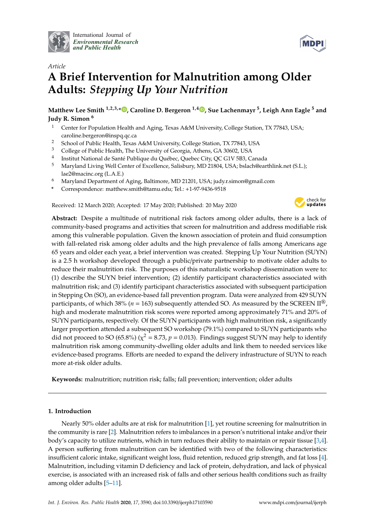

International Journal of *[Environmental Research](http://www.mdpi.com/journal/ijerph) and Public Health*



# *Article* **A Brief Intervention for Malnutrition among Older Adults:** *Stepping Up Your Nutrition*

**Matthew Lee Smith 1,2,3,\* [,](https://orcid.org/0000-0002-8232-9285) Caroline D. Bergeron 1,4 [,](https://orcid.org/0000-0002-7238-4213) Sue Lachenmayr <sup>5</sup> , Leigh Ann Eagle <sup>5</sup> and Judy R. Simon <sup>6</sup>**

- <sup>1</sup> Center for Population Health and Aging, Texas A&M University, College Station, TX 77843, USA; caroline.bergeron@inspq.qc.ca
- <sup>2</sup> School of Public Health, Texas A&M University, College Station, TX 77843, USA<br><sup>3</sup> College of Public Health, The University of Coexais, Athens, CA 20602, USA
- <sup>3</sup> College of Public Health, The University of Georgia, Athens, GA 30602, USA
- 4 Institut National de Santé Publique du Québec, Quebec City, QC G1V 5B3, Canada
- <sup>5</sup> Maryland Living Well Center of Excellence, Salisbury, MD 21804, USA; bslach@earthlink.net (S.L.); lae2@macinc.org (L.A.E.)
- <sup>6</sup> Maryland Department of Aging, Baltimore, MD 21201, USA; judy.r.simon@gmail.com
- **\*** Correspondence: matthew.smith@tamu.edu; Tel.: +1-97-9436-9518

Received: 12 March 2020; Accepted: 17 May 2020; Published: 20 May 2020



**Abstract:** Despite a multitude of nutritional risk factors among older adults, there is a lack of community-based programs and activities that screen for malnutrition and address modifiable risk among this vulnerable population. Given the known association of protein and fluid consumption with fall-related risk among older adults and the high prevalence of falls among Americans age 65 years and older each year, a brief intervention was created. Stepping Up Your Nutrition (SUYN) is a 2.5 h workshop developed through a public/private partnership to motivate older adults to reduce their malnutrition risk. The purposes of this naturalistic workshop dissemination were to: (1) describe the SUYN brief intervention; (2) identify participant characteristics associated with malnutrition risk; and (3) identify participant characteristics associated with subsequent participation in Stepping On (SO), an evidence-based fall prevention program. Data were analyzed from 429 SUYN participants, of which 38% ( $n = 163$ ) subsequently attended SO. As measured by the SCREEN II<sup>®</sup>, high and moderate malnutrition risk scores were reported among approximately 71% and 20% of SUYN participants, respectively. Of the SUYN participants with high malnutrition risk, a significantly larger proportion attended a subsequent SO workshop (79.1%) compared to SUYN participants who did not proceed to SO (65.8%) ( $\chi^2$  = 8.73*, p* = 0.013). Findings suggest SUYN may help to identify malnutrition risk among community-dwelling older adults and link them to needed services like evidence-based programs. Efforts are needed to expand the delivery infrastructure of SUYN to reach more at-risk older adults.

**Keywords:** malnutrition; nutrition risk; falls; fall prevention; intervention; older adults

## **1. Introduction**

Nearly 50% older adults are at risk for malnutrition [\[1\]](#page-9-0), yet routine screening for malnutrition in the community is rare [\[2\]](#page-9-1). Malnutrition refers to imbalances in a person's nutritional intake and/or their body's capacity to utilize nutrients, which in turn reduces their ability to maintain or repair tissue [\[3](#page-9-2)[,4\]](#page-9-3). A person suffering from malnutrition can be identified with two of the following characteristics: insufficient caloric intake, significant weight loss, fluid retention, reduced grip strength, and fat loss [\[4\]](#page-9-3). Malnutrition, including vitamin D deficiency and lack of protein, dehydration, and lack of physical exercise, is associated with an increased risk of falls and other serious health conditions such as frailty among older adults [\[5](#page-9-4)[–11\]](#page-10-0).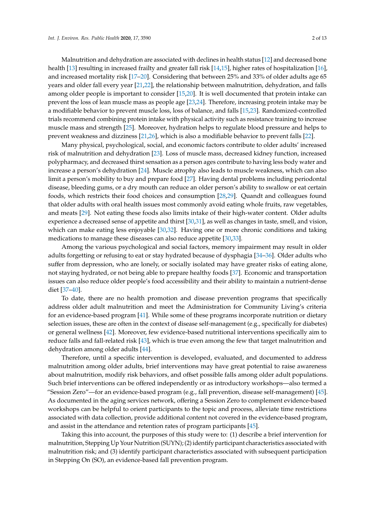Malnutrition and dehydration are associated with declines in health status [\[12\]](#page-10-1) and decreased bone health [\[13\]](#page-10-2) resulting in increased frailty and greater fall risk [\[14](#page-10-3)[,15\]](#page-10-4), higher rates of hospitalization [\[16\]](#page-10-5), and increased mortality risk [\[17](#page-10-6)[–20\]](#page-10-7). Considering that between 25% and 33% of older adults age 65 years and older fall every year [\[21](#page-10-8)[,22\]](#page-10-9), the relationship between malnutrition, dehydration, and falls among older people is important to consider [\[15](#page-10-4)[,20\]](#page-10-7). It is well documented that protein intake can prevent the loss of lean muscle mass as people age [\[23,](#page-10-10)[24\]](#page-10-11). Therefore, increasing protein intake may be a modifiable behavior to prevent muscle loss, loss of balance, and falls [\[15,](#page-10-4)[23\]](#page-10-10). Randomized-controlled trials recommend combining protein intake with physical activity such as resistance training to increase muscle mass and strength [\[25\]](#page-10-12). Moreover, hydration helps to regulate blood pressure and helps to prevent weakness and dizziness [\[21](#page-10-8)[,26\]](#page-10-13), which is also a modifiable behavior to prevent falls [\[22\]](#page-10-9).

Many physical, psychological, social, and economic factors contribute to older adults' increased risk of malnutrition and dehydration [\[23\]](#page-10-10). Loss of muscle mass, decreased kidney function, increased polypharmacy, and decreased thirst sensation as a person ages contribute to having less body water and increase a person's dehydration [\[24\]](#page-10-11). Muscle atrophy also leads to muscle weakness, which can also limit a person's mobility to buy and prepare food [\[27\]](#page-10-14). Having dental problems including periodontal disease, bleeding gums, or a dry mouth can reduce an older person's ability to swallow or eat certain foods, which restricts their food choices and consumption [\[28](#page-10-15)[,29\]](#page-10-16). Quandt and colleagues found that older adults with oral health issues most commonly avoid eating whole fruits, raw vegetables, and meats [\[29\]](#page-10-16). Not eating these foods also limits intake of their high-water content. Older adults experience a decreased sense of appetite and thirst [\[30](#page-10-17)[,31\]](#page-10-18), as well as changes in taste, smell, and vision, which can make eating less enjoyable [\[30](#page-10-17)[,32\]](#page-10-19). Having one or more chronic conditions and taking medications to manage these diseases can also reduce appetite [\[30](#page-10-17)[,33\]](#page-11-0).

Among the various psychological and social factors, memory impairment may result in older adults forgetting or refusing to eat or stay hydrated because of dysphagia [\[34–](#page-11-1)[36\]](#page-11-2). Older adults who suffer from depression, who are lonely, or socially isolated may have greater risks of eating alone, not staying hydrated, or not being able to prepare healthy foods [\[37\]](#page-11-3). Economic and transportation issues can also reduce older people's food accessibility and their ability to maintain a nutrient-dense diet [\[37](#page-11-3)[–40\]](#page-11-4).

To date, there are no health promotion and disease prevention programs that specifically address older adult malnutrition and meet the Administration for Community Living's criteria for an evidence-based program [\[41\]](#page-11-5). While some of these programs incorporate nutrition or dietary selection issues, these are often in the context of disease self-management (e.g., specifically for diabetes) or general wellness [\[42\]](#page-11-6). Moreover, few evidence-based nutritional interventions specifically aim to reduce falls and fall-related risk [\[43\]](#page-11-7), which is true even among the few that target malnutrition and dehydration among older adults [\[44\]](#page-11-8).

Therefore, until a specific intervention is developed, evaluated, and documented to address malnutrition among older adults, brief interventions may have great potential to raise awareness about malnutrition, modify risk behaviors, and offset possible falls among older adult populations. Such brief interventions can be offered independently or as introductory workshops—also termed a "Session Zero"—for an evidence-based program (e.g., fall prevention, disease self-management) [\[45\]](#page-11-9). As documented in the aging services network, offering a Session Zero to complement evidence-based workshops can be helpful to orient participants to the topic and process, alleviate time restrictions associated with data collection, provide additional content not covered in the evidence-based program, and assist in the attendance and retention rates of program participants [\[45\]](#page-11-9).

Taking this into account, the purposes of this study were to: (1) describe a brief intervention for malnutrition, Stepping Up Your Nutrition (SUYN); (2) identify participant characteristics associated with malnutrition risk; and (3) identify participant characteristics associated with subsequent participation in Stepping On (SO), an evidence-based fall prevention program.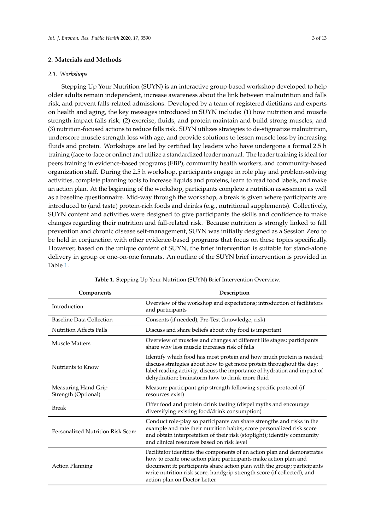### **2. Materials and Methods**

#### *2.1. Workshops*

Stepping Up Your Nutrition (SUYN) is an interactive group-based workshop developed to help older adults remain independent, increase awareness about the link between malnutrition and falls risk, and prevent falls-related admissions. Developed by a team of registered dietitians and experts on health and aging, the key messages introduced in SUYN include: (1) how nutrition and muscle strength impact falls risk; (2) exercise, fluids, and protein maintain and build strong muscles; and (3) nutrition-focused actions to reduce falls risk. SUYN utilizes strategies to de-stigmatize malnutrition, underscore muscle strength loss with age, and provide solutions to lessen muscle loss by increasing fluids and protein. Workshops are led by certified lay leaders who have undergone a formal 2.5 h training (face-to-face or online) and utilize a standardized leader manual. The leader training is ideal for peers training in evidence-based programs (EBP), community health workers, and community-based organization staff. During the 2.5 h workshop, participants engage in role play and problem-solving activities, complete planning tools to increase liquids and proteins, learn to read food labels, and make an action plan. At the beginning of the workshop, participants complete a nutrition assessment as well as a baseline questionnaire. Mid-way through the workshop, a break is given where participants are introduced to (and taste) protein-rich foods and drinks (e.g., nutritional supplements). Collectively, SUYN content and activities were designed to give participants the skills and confidence to make changes regarding their nutrition and fall-related risk. Because nutrition is strongly linked to fall prevention and chronic disease self-management, SUYN was initially designed as a Session Zero to be held in conjunction with other evidence-based programs that focus on these topics specifically. However, based on the unique content of SUYN, the brief intervention is suitable for stand-alone delivery in group or one-on-one formats. An outline of the SUYN brief intervention is provided in Table [1.](#page-2-0)

<span id="page-2-0"></span>

| Components                                 | Description                                                                                                                                                                                                                                                                                                                         |  |  |  |  |  |
|--------------------------------------------|-------------------------------------------------------------------------------------------------------------------------------------------------------------------------------------------------------------------------------------------------------------------------------------------------------------------------------------|--|--|--|--|--|
| Introduction                               | Overview of the workshop and expectations; introduction of facilitators<br>and participants                                                                                                                                                                                                                                         |  |  |  |  |  |
| Baseline Data Collection                   | Consents (if needed); Pre-Test (knowledge, risk)                                                                                                                                                                                                                                                                                    |  |  |  |  |  |
| <b>Nutrition Affects Falls</b>             | Discuss and share beliefs about why food is important                                                                                                                                                                                                                                                                               |  |  |  |  |  |
| Muscle Matters                             | Overview of muscles and changes at different life stages; participants<br>share why less muscle increases risk of falls                                                                                                                                                                                                             |  |  |  |  |  |
| Nutrients to Know                          | Identify which food has most protein and how much protein is needed;<br>discuss strategies about how to get more protein throughout the day;<br>label reading activity; discuss the importance of hydration and impact of<br>dehydration; brainstorm how to drink more fluid                                                        |  |  |  |  |  |
| Measuring Hand Grip<br>Strength (Optional) | Measure participant grip strength following specific protocol (if<br>resources exist)                                                                                                                                                                                                                                               |  |  |  |  |  |
| <b>Break</b>                               | Offer food and protein drink tasting (dispel myths and encourage<br>diversifying existing food/drink consumption)                                                                                                                                                                                                                   |  |  |  |  |  |
| <b>Personalized Nutrition Risk Score</b>   | Conduct role-play so participants can share strengths and risks in the<br>example and rate their nutrition habits; score personalized risk score<br>and obtain interpretation of their risk (stoplight); identify community<br>and clinical resources based on risk level                                                           |  |  |  |  |  |
| <b>Action Planning</b>                     | Facilitator identifies the components of an action plan and demonstrates<br>how to create one action plan; participants make action plan and<br>document it; participants share action plan with the group; participants<br>write nutrition risk score, handgrip strength score (if collected), and<br>action plan on Doctor Letter |  |  |  |  |  |

**Table 1.** Stepping Up Your Nutrition (SUYN) Brief Intervention Overview.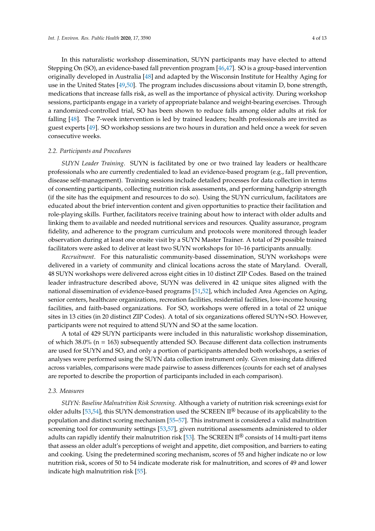In this naturalistic workshop dissemination, SUYN participants may have elected to attend Stepping On (SO), an evidence-based fall prevention program [\[46](#page-11-10)[,47\]](#page-11-11). SO is a group-based intervention originally developed in Australia [\[48\]](#page-11-12) and adapted by the Wisconsin Institute for Healthy Aging for use in the United States [\[49,](#page-11-13)[50\]](#page-11-14). The program includes discussions about vitamin D, bone strength, medications that increase falls risk, as well as the importance of physical activity. During workshop sessions, participants engage in a variety of appropriate balance and weight-bearing exercises. Through a randomized-controlled trial, SO has been shown to reduce falls among older adults at risk for falling [\[48\]](#page-11-12). The 7-week intervention is led by trained leaders; health professionals are invited as guest experts [\[49\]](#page-11-13). SO workshop sessions are two hours in duration and held once a week for seven consecutive weeks.

#### *2.2. Participants and Procedures*

*SUYN Leader Training*. SUYN is facilitated by one or two trained lay leaders or healthcare professionals who are currently credentialed to lead an evidence-based program (e.g., fall prevention, disease self-management). Training sessions include detailed processes for data collection in terms of consenting participants, collecting nutrition risk assessments, and performing handgrip strength (if the site has the equipment and resources to do so). Using the SUYN curriculum, facilitators are educated about the brief intervention content and given opportunities to practice their facilitation and role-playing skills. Further, facilitators receive training about how to interact with older adults and linking them to available and needed nutritional services and resources. Quality assurance, program fidelity, and adherence to the program curriculum and protocols were monitored through leader observation during at least one onsite visit by a SUYN Master Trainer. A total of 29 possible trained facilitators were asked to deliver at least two SUYN workshops for 10–16 participants annually.

*Recruitment*. For this naturalistic community-based dissemination, SUYN workshops were delivered in a variety of community and clinical locations across the state of Maryland. Overall, 48 SUYN workshops were delivered across eight cities in 10 distinct ZIP Codes. Based on the trained leader infrastructure described above, SUYN was delivered in 42 unique sites aligned with the national dissemination of evidence-based programs [\[51,](#page-11-15)[52\]](#page-11-16), which included Area Agencies on Aging, senior centers, healthcare organizations, recreation facilities, residential facilities, low-income housing facilities, and faith-based organizations. For SO, workshops were offered in a total of 22 unique sites in 13 cities (in 20 distinct ZIP Codes). A total of six organizations offered SUYN+SO. However, participants were not required to attend SUYN and SO at the same location.

A total of 429 SUYN participants were included in this naturalistic workshop dissemination, of which 38.0% (n = 163) subsequently attended SO. Because different data collection instruments are used for SUYN and SO, and only a portion of participants attended both workshops, a series of analyses were performed using the SUYN data collection instrument only. Given missing data differed across variables, comparisons were made pairwise to assess differences (counts for each set of analyses are reported to describe the proportion of participants included in each comparison).

#### *2.3. Measures*

*SUYN: Baseline Malnutrition Risk Screening*. Although a variety of nutrition risk screenings exist for older adults [\[53,](#page-12-0)[54\]](#page-12-1), this SUYN demonstration used the SCREEN II<sup>®</sup> because of its applicability to the population and distinct scoring mechanism [\[55–](#page-12-2)[57\]](#page-12-3). This instrument is considered a valid malnutrition screening tool for community settings [\[53](#page-12-0)[,57\]](#page-12-3), given nutritional assessments administered to older adults can rapidly identify their malnutrition risk [\[53\]](#page-12-0). The SCREEN II® consists of 14 multi-part items that assess an older adult's perceptions of weight and appetite, diet composition, and barriers to eating and cooking. Using the predetermined scoring mechanism, scores of 55 and higher indicate no or low nutrition risk, scores of 50 to 54 indicate moderate risk for malnutrition, and scores of 49 and lower indicate high malnutrition risk [\[55\]](#page-12-2).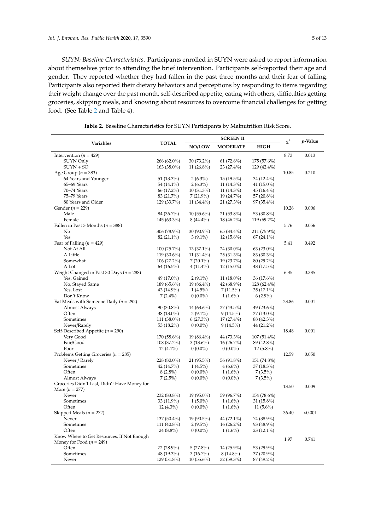*SUYN: Baseline Characteristics*. Participants enrolled in SUYN were asked to report information about themselves prior to attending the brief intervention. Participants self-reported their age and gender. They reported whether they had fallen in the past three months and their fear of falling. Participants also reported their dietary behaviors and perceptions by responding to items regarding their weight change over the past month, self-described appetite, eating with others, difficulties getting groceries, skipping meals, and knowing about resources to overcome financial challenges for getting food. (See Table [2](#page-4-0) and Table 4).

<span id="page-4-0"></span>

|                                              |               | <b>SCREEN II</b> |                 |               |       | <i>p</i> -Value |  |
|----------------------------------------------|---------------|------------------|-----------------|---------------|-------|-----------------|--|
| Variables                                    | <b>TOTAL</b>  | NO/LOW           | <b>MODERATE</b> | <b>HIGH</b>   | $x^2$ |                 |  |
| Intervention ( $n = 429$ )                   |               |                  |                 |               | 8.73  | 0.013           |  |
| SUYN Only                                    | $266(62.0\%)$ | 30 (73.2%)       | $61(72.6\%)$    | 175 (57.6%)   |       |                 |  |
| $SUNN + SO$                                  | 163 (38.0%)   | 11 $(26.8\%)$    | 23 (27.4%)      | 129 (42.4%)   |       |                 |  |
| Age Group ( $n = 383$ )                      |               |                  |                 |               | 10.85 | 0.210           |  |
| 64 Years and Younger                         | $51(13.3\%)$  | $2(6.3\%)$       | $15(19.5\%)$    | 34 (12.4%)    |       |                 |  |
| 65–69 Years                                  | 54 (14.1%)    | $2(6.3\%)$       | $11(14.3\%)$    | 41 (15.0%)    |       |                 |  |
| 70-74 Years                                  | 66 (17.2%)    | $10(31.3\%)$     | 11 (14.3%)      | $45(16.4\%)$  |       |                 |  |
| 75-79 Years                                  | 83 (21.7%)    | $7(21.9\%)$      | 19 (24.7%)      | 57 (20.8%)    |       |                 |  |
| 80 Years and Older                           | 129 (33.7%)   | 11 (34.4%)       | 21 (27.3%)      | 97 (35.4%)    |       |                 |  |
| Gender ( $n = 229$ )                         |               |                  |                 |               | 10.26 | 0.006           |  |
| Male                                         | 84 (36.7%)    | $10(55.6\%)$     | 21 (53.8%)      | 53 (30.8%)    |       |                 |  |
| Female                                       | $145(63.3\%)$ | $8(44.4\%)$      | 18 (46.2%)      | 119 (69.2%)   |       |                 |  |
| Fallen in Past 3 Months ( $n = 388$ )        |               |                  |                 |               | 5.76  | 0.056           |  |
| No                                           | 306 (78.9%)   | 30 (90.9%)       | 65 (84.4%)      | 211 (75.9%)   |       |                 |  |
| Yes                                          | 82 (21.1%)    | $3(9.1\%)$       | $12(15.6\%)$    | $67(24.1\%)$  |       |                 |  |
| Fear of Falling ( $n = 429$ )                |               |                  |                 |               | 5.41  | 0.492           |  |
| Not At All                                   | $100(25.7\%)$ | 13 (37.1%)       | 24 (30.0%)      | $63(23.0\%)$  |       |                 |  |
| A Little                                     | $119(30.6\%)$ | $11(31.4\%)$     | 25 (31.3%)      | 83 (30.3%)    |       |                 |  |
| Somewhat                                     | $106(27.2\%)$ | $7(20.1\%)$      | 19 (23.7%)      | 80 (29.2%)    |       |                 |  |
| A Lot                                        | $64(16.5\%)$  | $4(11.4\%)$      | $12(15.0\%)$    | 48 (17.5%)    |       |                 |  |
| Weight Changed in Past 30 Days ( $n = 288$ ) |               |                  |                 |               | 6.35  | 0.385           |  |
| Yes, Gained                                  | 49 (17.0%)    | $2(9.1\%)$       | $11(18.0\%)$    | $36(17.6\%)$  |       |                 |  |
| No, Stayed Same                              | 189 (65.6%)   | 19 (86.4%)       | 42 (68.9%)      | 128 (62.4%)   |       |                 |  |
| Yes, Lost                                    | 43 (14.9%)    | $1(4.5\%)$       | $7(11.5\%)$     | $35(17.1\%)$  |       |                 |  |
| Don't Know                                   | $7(2.4\%)$    | $0(0.0\%)$       | $1(1.6\%)$      | $6(2.9\%)$    |       |                 |  |
| Eat Meals with Someone Daily ( $n = 292$ )   |               |                  |                 |               | 23.86 | 0.001           |  |
| Almost Always                                | 90 (30.8%)    | 14 (63.6%)       | $27(43.5\%)$    | 49 (23.6%)    |       |                 |  |
| Often                                        | 38 (13.0%)    | $2(9.1\%)$       | $9(14.5\%)$     | $27(13.0\%)$  |       |                 |  |
| Sometimes                                    | 111 (38.0%)   | $6(27.3\%)$      | $17(27.4\%)$    | 88 (42.3%)    |       |                 |  |
| Never/Rarely                                 | 53 (18.2%)    | $0(0.0\%)$       | $9(14.5\%)$     | 44 (21.2%)    |       |                 |  |
| Self-Described Appetite ( $n = 290$ )        |               |                  |                 |               | 18.48 | 0.001           |  |
| Very Good                                    | 170 (58.6%)   | 19 (86.4%)       | 44 (73.3%)      | $107(51.4\%)$ |       |                 |  |
| Fair/Good                                    | 108 (37.2%)   | $3(13.6\%)$      | $16(26.7\%)$    | 89 (42.8%)    |       |                 |  |
| Poor                                         | $12(4.1\%)$   | $0(0.0\%)$       | $0(0.0\%)$      | $12(5.8\%)$   |       |                 |  |
| Problems Getting Groceries ( $n = 285$ )     |               |                  |                 |               | 12.59 | 0.050           |  |
| Never / Rarely                               | 228 (80.0%)   | 21 (95.5%)       | 56 (91.8%)      | 151 (74.8%)   |       |                 |  |
| Sometimes                                    | 42 (14.7%)    | $1(4.5\%)$       | $4(6.6\%)$      | 37 (18.3%)    |       |                 |  |
| Often                                        | $8(2.8\%)$    | $0(0.0\%)$       | $1(1.6\%)$      | $7(3.5\%)$    |       |                 |  |
| Almost Always                                | $7(2.5\%)$    | $0(0.0\%)$       | $0(0.0\%)$      | $7(3.5\%)$    |       |                 |  |
| Groceries Didn't Last, Didn't Have Money for |               |                  |                 |               |       |                 |  |
| More ( $n = 277$ )                           |               |                  |                 |               | 13.50 | 0.009           |  |
| Never                                        | 232 (83.8%)   | 19 (95.0%)       | 59 (96.7%)      | 154 (78.6%)   |       |                 |  |
| Sometimes                                    | 33 (11.9%)    | $1(5.0\%)$       | $1(1.6\%)$      | $31(15.8\%)$  |       |                 |  |
| Often                                        | $12(4.3\%)$   | $0(0.0\%)$       | $1(1.6\%)$      | $11(5.6\%)$   |       |                 |  |
| Skipped Meals ( $n = 272$ )                  |               |                  |                 |               | 36.40 | < 0.001         |  |
| Never                                        | $137(50.4\%)$ | 19 (90.5%)       | 44 (72.1%)      | 74 (38.9%)    |       |                 |  |
| Sometimes                                    | 111 (40.8%)   | $2(9.5\%)$       | $16(26.2\%)$    | 93 (48.9%)    |       |                 |  |
| Often                                        | $24(8.8\%)$   | $0(0.0\%)$       | $1(1.6\%)$      | 23 (12.1%)    |       |                 |  |
| Know Where to Get Resources, If Not Enough   |               |                  |                 |               |       |                 |  |
| Money for Food ( $n = 249$ )                 |               |                  |                 |               | 1.97  | 0.741           |  |
| Often                                        | 72 (28.9%)    | $5(27.8\%)$      | 14 (25.9%)      | 53 (29.9%)    |       |                 |  |
| Sometimes                                    | 48 (19.3%)    | $3(16.7\%)$      | $8(14.8\%)$     | 37 (20.9%)    |       |                 |  |
| Never                                        | 129 (51.8%)   | $10(55.6\%)$     | 32 (59.3%)      | 87 (49.2%)    |       |                 |  |
|                                              |               |                  |                 |               |       |                 |  |

**Table 2.** Baseline Characteristics for SUYN Participants by Malnutrition Risk Score.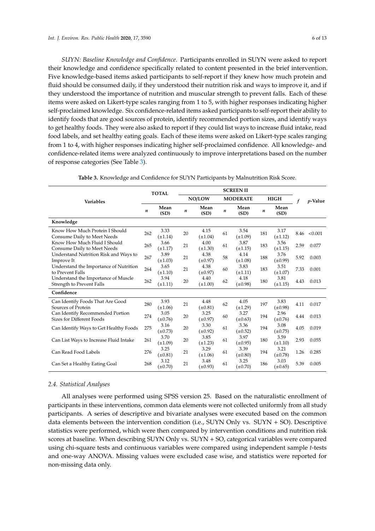*SUYN: Baseline Knowledge and Confidence*. Participants enrolled in SUYN were asked to report their knowledge and confidence specifically related to content presented in the brief intervention. Five knowledge-based items asked participants to self-report if they knew how much protein and fluid should be consumed daily, if they understood their nutrition risk and ways to improve it, and if they understood the importance of nutrition and muscular strength to prevent falls. Each of these items were asked on Likert-type scales ranging from 1 to 5, with higher responses indicating higher self-proclaimed knowledge. Six confidence-related items asked participants to self-report their ability to identify foods that are good sources of protein, identify recommended portion sizes, and identify ways to get healthy foods. They were also asked to report if they could list ways to increase fluid intake, read food labels, and set healthy eating goals. Each of these items were asked on Likert-type scales ranging from 1 to 4, with higher responses indicating higher self-proclaimed confidence. All knowledge- and confidence-related items were analyzed continuously to improve interpretations based on the number of response categories (See Table [3\)](#page-5-0).

<span id="page-5-0"></span>

| <b>Variables</b>                                                 | <b>TOTAL</b> |                      | <b>SCREENII</b> |                      |                 |                      |                  |                      |      |            |
|------------------------------------------------------------------|--------------|----------------------|-----------------|----------------------|-----------------|----------------------|------------------|----------------------|------|------------|
|                                                                  |              |                      | NO/LOW          |                      | <b>MODERATE</b> |                      | <b>HIGH</b>      |                      |      | $p$ -Value |
|                                                                  | n            | Mean<br>(SD)         | n               | Mean<br>(SD)         | n               | Mean<br>(SD)         | $\boldsymbol{n}$ | Mean<br>(SD)         |      |            |
| Knowledge                                                        |              |                      |                 |                      |                 |                      |                  |                      |      |            |
| Know How Much Protein I Should<br>Consume Daily to Meet Needs    | 262          | 3.33<br>$(\pm 1.14)$ | 20              | 4.15<br>$(\pm 1.04)$ | 61              | 3.54<br>$(\pm 1.09)$ | 181              | 3.17<br>$(\pm 1.12)$ | 8.46 | < 0.001    |
| Know How Much Fluid I Should<br>Consume Daily to Meet Needs      | 265          | 3.66<br>$(\pm 1.17)$ | 21              | 4.00<br>$(\pm 1.30)$ | 61              | 3.87<br>$(\pm 1.15)$ | 183              | 3.56<br>$(\pm 1.15)$ | 2.59 | 0.077      |
| Understand Nutrition Risk and Ways to<br>Improve It              | 267          | 3.89<br>$(\pm 1.03)$ | 21              | 4.38<br>$(\pm 0.97)$ | 58              | 4.14<br>$(\pm 1.08)$ | 188              | 3.76<br>$(\pm 0.99)$ | 5.92 | 0.003      |
| Understand the Importance of Nutrition<br>to Prevent Falls       | 264          | 3.65<br>$(\pm 1.10)$ | 21              | 4.38<br>$(\pm 0.97)$ | 60              | 3.83<br>$(\pm 1.11)$ | 183              | 3.51<br>$(\pm 1.07)$ | 7.33 | 0.001      |
| Understand the Importance of Muscle<br>Strength to Prevent Falls | 262          | 3.94<br>$(\pm 1.11)$ | 20              | 4.40<br>$(\pm 1.00)$ | 62              | 4.18<br>$(\pm 0.98)$ | 180              | 3.81<br>$(\pm 1.15)$ | 4.43 | 0.013      |
| Confidence                                                       |              |                      |                 |                      |                 |                      |                  |                      |      |            |
| Can Identify Foods That Are Good<br>Sources of Protein           | 280          | 3.93<br>$(\pm 1.06)$ | 21              | 4.48<br>$(\pm 0.81)$ | 62              | 4.05<br>$(\pm 1.29)$ | 197              | 3.83<br>$(\pm 0.98)$ | 4.11 | 0.017      |
| Can Identify Recommended Portion<br>Sizes for Different Foods    | 274          | 3.05<br>$(\pm 0.76)$ | 20              | 3.25<br>$(\pm 0.97)$ | 60              | 3.27<br>$(\pm 0.63)$ | 194              | 2.96<br>$(\pm 0.76)$ | 4.44 | 0.013      |
| Can Identify Ways to Get Healthy Foods                           | 275          | 3.16<br>$(\pm 0.73)$ | 20              | 3.30<br>$(\pm 0.92)$ | 61              | 3.36<br>$(\pm 0.52)$ | 194              | 3.08<br>$(\pm 0.75)$ | 4.05 | 0.019      |
| Can List Ways to Increase Fluid Intake                           | 261          | 3.70<br>$(\pm 1.09)$ | 20              | 3.85<br>$(\pm 1.23)$ | 61              | 3.97<br>$(\pm 0.95)$ | 180              | 3.59<br>$(\pm 1.10)$ | 2.93 | 0.055      |
| Can Read Food Labels                                             | 276          | 3.25<br>$(\pm 0.81)$ | 21              | 3.29<br>$(\pm 1.06)$ | 61              | 3.39<br>$(\pm 0.80)$ | 194              | 3.21<br>$(\pm 0.78)$ | 1.26 | 0.285      |
| Can Set a Healthy Eating Goal                                    | 268          | 3.12<br>$(\pm 0.70)$ | 21              | 3.48<br>$(\pm 0.93)$ | 61              | 3.25<br>$(\pm 0.70)$ | 186              | 3.03<br>$(\pm 0.65)$ | 5.39 | 0.005      |

**Table 3.** Knowledge and Confidence for SUYN Participants by Malnutrition Risk Score.

#### *2.4. Statistical Analyses*

All analyses were performed using SPSS version 25. Based on the naturalistic enrollment of participants in these interventions, common data elements were not collected uniformly from all study participants. A series of descriptive and bivariate analyses were executed based on the common data elements between the intervention condition (i.e., SUYN Only vs.  $SUNN + SO$ ). Descriptive statistics were performed, which were then compared by intervention conditions and nutrition risk scores at baseline. When describing SUYN Only vs. SUYN + SO, categorical variables were compared using chi-square tests and continuous variables were compared using independent sample *t*-tests and one-way ANOVA. Missing values were excluded case wise, and statistics were reported for non-missing data only.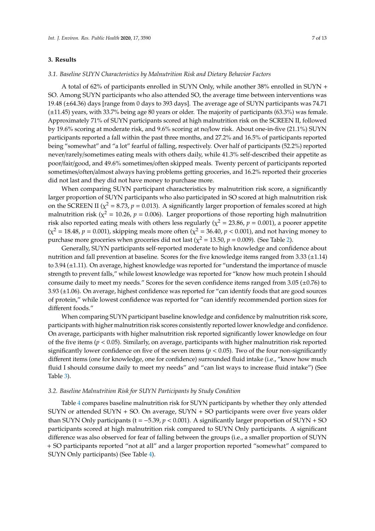### **3. Results**

#### *3.1. Baseline SUYN Characteristics by Malnutrition Risk and Dietary Behavior Factors*

A total of 62% of participants enrolled in SUYN Only, while another 38% enrolled in SUYN + SO. Among SUYN participants who also attended SO, the average time between interventions was 19.48 (±64.36) days [range from 0 days to 393 days]. The average age of SUYN participants was 74.71 (±11.45) years, with 33.7% being age 80 years or older. The majority of participants (63.3%) was female. Approximately 71% of SUYN participants scored at high malnutrition risk on the SCREEN II, followed by 19.6% scoring at moderate risk, and 9.6% scoring at no/low risk. About one-in-five (21.1%) SUYN participants reported a fall within the past three months, and 27.2% and 16.5% of participants reported being "somewhat" and "a lot" fearful of falling, respectively. Over half of participants (52.2%) reported never/rarely/sometimes eating meals with others daily, while 41.3% self-described their appetite as poor/fair/good, and 49.6% sometimes/often skipped meals. Twenty percent of participants reported sometimes/often/almost always having problems getting groceries, and 16.2% reported their groceries did not last and they did not have money to purchase more.

When comparing SUYN participant characteristics by malnutrition risk score, a significantly larger proportion of SUYN participants who also participated in SO scored at high malnutrition risk on the SCREEN II ( $\chi^2$  = 8.73,  $p$  = 0.013). A significantly larger proportion of females scored at high malnutrition risk ( $\chi^2$  = 10.26,  $p$  = 0.006). Larger proportions of those reporting high malnutrition risk also reported eating meals with others less regularly ( $\chi^2$  = 23.86,  $p$  = 0.001), a poorer appetite  $(χ² = 18.48, p = 0.001)$ , skipping meals more often ( $χ² = 36.40, p < 0.001$ ), and not having money to purchase more groceries when groceries did not last ( $\chi^2$  = 13.50,  $p$  = 0.009). (See Table [2\)](#page-4-0).

Generally, SUYN participants self-reported moderate to high knowledge and confidence about nutrition and fall prevention at baseline. Scores for the five knowledge items ranged from 3.33 (±1.14) to 3.94 (±1.11). On average, highest knowledge was reported for "understand the importance of muscle strength to prevent falls," while lowest knowledge was reported for "know how much protein I should consume daily to meet my needs." Scores for the seven confidence items ranged from 3.05 (±0.76) to 3.93 (±1.06). On average, highest confidence was reported for "can identify foods that are good sources of protein," while lowest confidence was reported for "can identify recommended portion sizes for different foods."

When comparing SUYN participant baseline knowledge and confidence by malnutrition risk score, participants with higher malnutrition risk scores consistently reported lower knowledge and confidence. On average, participants with higher malnutrition risk reported significantly lower knowledge on four of the five items (*p* < 0.05). Similarly, on average, participants with higher malnutrition risk reported significantly lower confidence on five of the seven items ( $p < 0.05$ ). Two of the four non-significantly different items (one for knowledge, one for confidence) surrounded fluid intake (i.e., "know how much fluid I should consume daily to meet my needs" and "can list ways to increase fluid intake") (See Table [3\)](#page-5-0).

#### *3.2. Baseline Malnutrition Risk for SUYN Participants by Study Condition*

Table [4](#page-7-0) compares baseline malnutrition risk for SUYN participants by whether they only attended SUYN or attended SUYN + SO. On average, SUYN + SO participants were over five years older than SUYN Only participants (t = −5.39, *p* < 0.001). A significantly larger proportion of SUYN + SO participants scored at high malnutrition risk compared to SUYN Only participants. A significant difference was also observed for fear of falling between the groups (i.e., a smaller proportion of SUYN + SO participants reported "not at all" and a larger proportion reported "somewhat" compared to SUYN Only participants) (See Table [4\)](#page-7-0).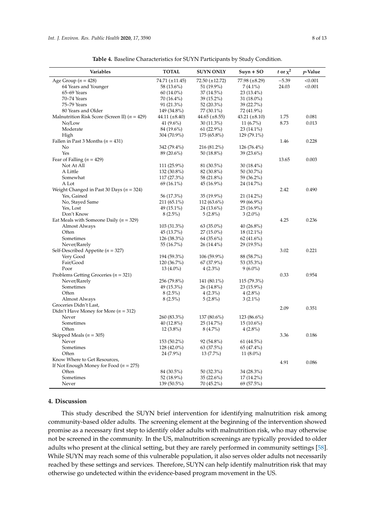<span id="page-7-0"></span>

| Variables                                         | <b>TOTAL</b>        | <b>SUYN ONLY</b>     | $Suyn + SO$        | t or $\chi^2$ | p-Value |
|---------------------------------------------------|---------------------|----------------------|--------------------|---------------|---------|
| Age Group ( $n = 428$ )                           | 74.71 $(\pm 11.45)$ | $72.50 (\pm 12.72)$  | 77.98 (±8.29)      | $-5.39$       | < 0.001 |
| 64 Years and Younger                              | 58 (13.6%)          | 51 (19.9%)           | $7(4.1\%)$         | 24.03         | < 0.001 |
| 65-69 Years                                       | 60 (14.0%)          | 37 (14.5%)           | $23(13.4\%)$       |               |         |
| 70-74 Years                                       | 70 (16.4%)          | 39 (15.2%)           | 31 (18.0%)         |               |         |
| 75-79 Years                                       | 91 (21.3%)          | 52 (20.3%)           | 39 (22.7%)         |               |         |
| 80 Years and Older                                | 149 (34.8%)         | 77 (30.1%)           | 72 (41.9%)         |               |         |
| Malnutrition Risk Score (Screen II) ( $n = 429$ ) | $44.11 (\pm 8.40)$  | $44.65 \ (\pm 8.55)$ | 43.21 $(\pm 8.10)$ | 1.75          | 0.081   |
| No/Low                                            | 41 $(9.6\%)$        | $30(11.3\%)$         | 11 $(6.7\%)$       | 8.73          | 0.013   |
| Moderate                                          | 84 (19.6%)          | $61(22.9\%)$         | $23(14.1\%)$       |               |         |
| High                                              | 304 (70.9%)         | 175 (65.8%)          | 129 (79.1%)        |               |         |
| Fallen in Past 3 Months ( $n = 431$ )             |                     |                      |                    | 1.46          | 0.228   |
| N <sub>0</sub>                                    | 342 (79.4%)         | 216 (81.2%)          | $126(76.4\%)$      |               |         |
| Yes                                               | 89 (20.6%)          | 50 (18.8%)           | 39 (23.6%)         |               |         |
| Fear of Falling ( $n = 429$ )                     |                     |                      |                    | 13.65         | 0.003   |
| Not At All                                        | 111 (25.9%)         | 81 (30.5%)           | $30(18.4\%)$       |               |         |
| A Little                                          | 132 (30.8%)         | 82 (30.8%)           | 50 (30.7%)         |               |         |
| Somewhat                                          | 117 (27.3%)         | 58 (21.8%)           | 59 (36.2%)         |               |         |
| A Lot                                             | $69(16.1\%)$        | 45 (16.9%)           | 24 (14.7%)         |               |         |
| Weight Changed in Past 30 Days ( $n = 324$ )      |                     |                      |                    | 2.42          | 0.490   |
| Yes, Gained                                       | 56 (17.3%)          | 35 (19.9%)           | 21 (14.2%)         |               |         |
| No, Stayed Same                                   | 211 (65.1%)         | 112 (63.6%)          | 99 (66.9%)         |               |         |
| Yes, Lost                                         | 49 (15.1%)          | 24 (13.6%)           | 25 (16.9%)         |               |         |
| Don't Know                                        | $8(2.5\%)$          | $5(2.8\%)$           | $3(2.0\%)$         |               |         |
| Eat Meals with Someone Daily ( $n = 329$ )        |                     |                      |                    | 4.25          | 0.236   |
| Almost Always                                     | 103 (31.3%)         | $63(35.0\%)$         | 40 $(26.8\%)$      |               |         |
| Often                                             | 45 (13.7%)          | 27 (15.0%)           | 18 (12.1%)         |               |         |
| Sometimes                                         | 126 (38.3%)         | $64(35.6\%)$         | 62 $(41.6\%)$      |               |         |
| Never/Rarely                                      | 55 (16.7%)          | 26 (14.4%)           | 29 (19.5%)         |               |         |
| Self-Described Appetite ( $n = 327$ )             |                     |                      |                    | 3.02          | 0.221   |
| Very Good                                         | 194 (59.3%)         | 106 (59.9%)          | 88 (58.7%)         |               |         |
| Fair/Good                                         | 120 (36.7%)         | 67 (37.9%)           | 53 (35.3%)         |               |         |
| Poor                                              | $13(4.0\%)$         | $4(2.3\%)$           | $9(6.0\%)$         |               |         |
| Problems Getting Groceries ( $n = 321$ )          |                     |                      |                    | 0.33          | 0.954   |
| Never/Rarely                                      | 256 (79.8%)         | 141 (80.1%)          | $115(79.3\%)$      |               |         |
| Sometimes                                         | 49 (15.3%)          | 26 (14.8%)           | 23 (15.9%)         |               |         |
| Often                                             | $8(2.5\%)$          | $4(2.3\%)$           | $4(2.8\%)$         |               |         |
| Almost Always                                     | $8(2.5\%)$          | $5(2.8\%)$           | $3(2.1\%)$         |               |         |
| Groceries Didn't Last,                            |                     |                      |                    | 2.09          | 0.351   |
| Didn't Have Money for More ( $n = 312$ )          |                     |                      |                    |               |         |
| Never                                             | 260 (83.3%)         | 137 (80.6%)          | 123 (86.6%)        |               |         |
| Sometimes                                         | 40 (12.8%)          | 25 (14.7%)           | $15(10.6\%)$       |               |         |
| Often                                             | $12(3.8\%)$         | $8(4.7\%)$           | $4(2.8\%)$         |               |         |
| Skipped Meals ( $n = 305$ )                       |                     |                      |                    | 3.36          | 0.186   |
| Never                                             | 153 (50.2%)         | 92 (54.8%)           | 61 (44.5%)         |               |         |
| Sometimes                                         | 128 (42.0%)         | 63 (37.5%)           | 65 (47.4%)         |               |         |
| Often                                             | 24 (7.9%)           | 13 (7.7%)            | 11 $(8.0\%)$       |               |         |
| Know Where to Get Resources,                      |                     |                      |                    | 4.91          | 0.086   |
| If Not Enough Money for Food ( $n = 275$ )        |                     |                      |                    |               |         |
| Often                                             | 84 (30.5%)          | 50 (32.3%)           | 34 (28.3%)         |               |         |
| Sometimes                                         | 52 (18.9%)          | 35 (22.6%)           | $17(14.2\%)$       |               |         |
| Never                                             | 139 (50.5%)         | 70 (45.2%)           | 69 (57.5%)         |               |         |

**Table 4.** Baseline Characteristics for SUYN Participants by Study Condition.

## **4. Discussion**

This study described the SUYN brief intervention for identifying malnutrition risk among community-based older adults. The screening element at the beginning of the intervention showed promise as a necessary first step to identify older adults with malnutrition risk, who may otherwise not be screened in the community. In the US, malnutrition screenings are typically provided to older adults who present at the clinical setting, but they are rarely performed in community settings [\[58\]](#page-12-4). While SUYN may reach some of this vulnerable population, it also serves older adults not necessarily reached by these settings and services. Therefore, SUYN can help identify malnutrition risk that may otherwise go undetected within the evidence-based program movement in the US.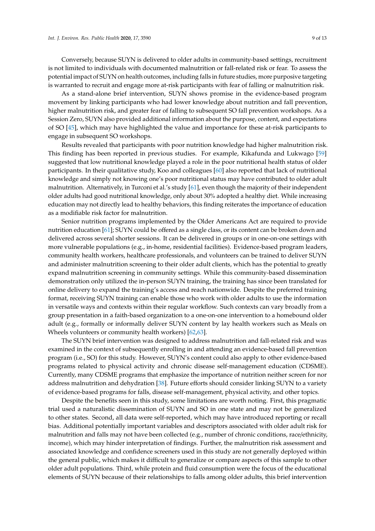Conversely, because SUYN is delivered to older adults in community-based settings, recruitment is not limited to individuals with documented malnutrition or fall-related risk or fear. To assess the potential impact of SUYN on health outcomes, including falls in future studies, more purposive targeting is warranted to recruit and engage more at-risk participants with fear of falling or malnutrition risk.

As a stand-alone brief intervention, SUYN shows promise in the evidence-based program movement by linking participants who had lower knowledge about nutrition and fall prevention, higher malnutrition risk, and greater fear of falling to subsequent SO fall prevention workshops. As a Session Zero, SUYN also provided additional information about the purpose, content, and expectations of SO [\[45\]](#page-11-9), which may have highlighted the value and importance for these at-risk participants to engage in subsequent SO workshops.

Results revealed that participants with poor nutrition knowledge had higher malnutrition risk. This finding has been reported in previous studies. For example, Kikafunda and Lukwago [\[59\]](#page-12-5) suggested that low nutritional knowledge played a role in the poor nutritional health status of older participants. In their qualitative study, Koo and colleagues [\[60\]](#page-12-6) also reported that lack of nutritional knowledge and simply not knowing one's poor nutritional status may have contributed to older adult malnutrition. Alternatively, in Turconi et al.'s study [\[61\]](#page-12-7), even though the majority of their independent older adults had good nutritional knowledge, only about 30% adopted a healthy diet. While increasing education may not directly lead to healthy behaviors, this finding reiterates the importance of education as a modifiable risk factor for malnutrition.

Senior nutrition programs implemented by the Older Americans Act are required to provide nutrition education [\[61\]](#page-12-7); SUYN could be offered as a single class, or its content can be broken down and delivered across several shorter sessions. It can be delivered in groups or in one-on-one settings with more vulnerable populations (e.g., in-home, residential facilities). Evidence-based program leaders, community health workers, healthcare professionals, and volunteers can be trained to deliver SUYN and administer malnutrition screening to their older adult clients, which has the potential to greatly expand malnutrition screening in community settings. While this community-based dissemination demonstration only utilized the in-person SUYN training, the training has since been translated for online delivery to expand the training's access and reach nationwide. Despite the preferred training format, receiving SUYN training can enable those who work with older adults to use the information in versatile ways and contexts within their regular workflow. Such contexts can vary broadly from a group presentation in a faith-based organization to a one-on-one intervention to a homebound older adult (e.g., formally or informally deliver SUYN content by lay health workers such as Meals on Wheels volunteers or community health workers) [\[62,](#page-12-8)[63\]](#page-12-9).

The SUYN brief intervention was designed to address malnutrition and fall-related risk and was examined in the context of subsequently enrolling in and attending an evidence-based fall prevention program (i.e., SO) for this study. However, SUYN's content could also apply to other evidence-based programs related to physical activity and chronic disease self-management education (CDSME). Currently, many CDSME programs that emphasize the importance of nutrition neither screen for nor address malnutrition and dehydration [\[38\]](#page-11-17). Future efforts should consider linking SUYN to a variety of evidence-based programs for falls, disease self-management, physical activity, and other topics.

Despite the benefits seen in this study, some limitations are worth noting. First, this pragmatic trial used a naturalistic dissemination of SUYN and SO in one state and may not be generalized to other states. Second, all data were self-reported, which may have introduced reporting or recall bias. Additional potentially important variables and descriptors associated with older adult risk for malnutrition and falls may not have been collected (e.g., number of chronic conditions, race/ethnicity, income), which may hinder interpretation of findings. Further, the malnutrition risk assessment and associated knowledge and confidence screeners used in this study are not generally deployed within the general public, which makes it difficult to generalize or compare aspects of this sample to other older adult populations. Third, while protein and fluid consumption were the focus of the educational elements of SUYN because of their relationships to falls among older adults, this brief intervention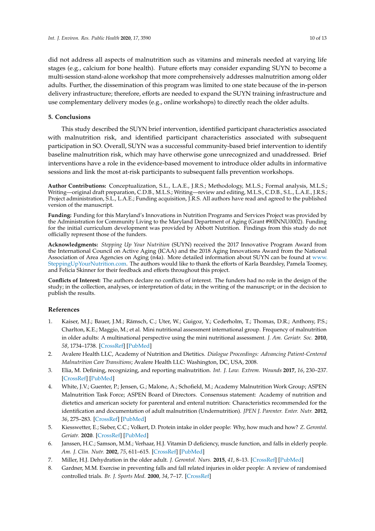did not address all aspects of malnutrition such as vitamins and minerals needed at varying life stages (e.g., calcium for bone health). Future efforts may consider expanding SUYN to become a multi-session stand-alone workshop that more comprehensively addresses malnutrition among older adults. Further, the dissemination of this program was limited to one state because of the in-person delivery infrastructure; therefore, efforts are needed to expand the SUYN training infrastructure and use complementary delivery modes (e.g., online workshops) to directly reach the older adults.

# **5. Conclusions**

This study described the SUYN brief intervention, identified participant characteristics associated with malnutrition risk, and identified participant characteristics associated with subsequent participation in SO. Overall, SUYN was a successful community-based brief intervention to identify baseline malnutrition risk, which may have otherwise gone unrecognized and unaddressed. Brief interventions have a role in the evidence-based movement to introduce older adults in informative sessions and link the most at-risk participants to subsequent falls prevention workshops.

**Author Contributions:** Conceptualization, S.L., L.A.E., J.R.S.; Methodology, M.L.S.; Formal analysis, M.L.S.; Writing—original draft preparation, C.D.B., M.L.S.; Writing—review and editing, M.L.S., C.D.B., S.L., L.A.E., J.R.S.; Project administration, S.L., L.A.E.; Funding acquisition, J.R.S. All authors have read and agreed to the published version of the manuscript.

**Funding:** Funding for this Maryland's Innovations in Nutrition Programs and Services Project was provided by the Administration for Community Living to the Maryland Department of Aging (Grant #90INNU0002). Funding for the initial curriculum development was provided by Abbott Nutrition. Findings from this study do not officially represent those of the funders.

**Acknowledgments:** *Stepping Up Your Nutrition* (SUYN) received the 2017 Innovative Program Award from the International Council on Active Aging (ICAA) and the 2018 Aging Innovations Award from the National Association of Area Agencies on Aging (n4a). More detailed information about SUYN can be found at [www.](www.SteppingUpYourNutrition.com) [SteppingUpYourNutrition.com.](www.SteppingUpYourNutrition.com) The authors would like to thank the efforts of Karla Beardsley, Pamela Toomey, and Felicia Skinner for their feedback and efforts throughout this project.

**Conflicts of Interest:** The authors declare no conflicts of interest. The funders had no role in the design of the study; in the collection, analyses, or interpretation of data; in the writing of the manuscript; or in the decision to publish the results.

## **References**

- <span id="page-9-0"></span>1. Kaiser, M.J.; Bauer, J.M.; Rämsch, C.; Uter, W.; Guigoz, Y.; Cederholm, T.; Thomas, D.R.; Anthony, P.S.; Charlton, K.E.; Maggio, M.; et al. Mini nutritional assessment international group. Frequency of malnutrition in older adults: A multinational perspective using the mini nutritional assessment. *J. Am. Geriatr. Soc.* **2010**, *58*, 1734–1738. [\[CrossRef\]](http://dx.doi.org/10.1111/j.1532-5415.2010.03016.x) [\[PubMed\]](http://www.ncbi.nlm.nih.gov/pubmed/20863332)
- <span id="page-9-1"></span>2. Avalere Health LLC, Academy of Nutrition and Dietitics. *Dialogue Proceedings: Advancing Patient-Centered Malnutrition Care Transitions*; Avalere Health LLC: Washington, DC, USA, 2008.
- <span id="page-9-2"></span>3. Elia, M. Defining, recognizing, and reporting malnutrition. *Int. J. Low. Extrem. Wounds* **2017**, *16*, 230–237. [\[CrossRef\]](http://dx.doi.org/10.1177/1534734617733902) [\[PubMed\]](http://www.ncbi.nlm.nih.gov/pubmed/29145755)
- <span id="page-9-3"></span>4. White, J.V.; Guenter, P.; Jensen, G.; Malone, A.; Schofield, M.; Academy Malnutrition Work Group; ASPEN Malnutrition Task Force; ASPEN Board of Directors. Consensus statement: Academy of nutrition and dietetics and american society for parenteral and enteral nutrition: Characteristics recommended for the identification and documentation of adult malnutrition (Undernutrition). *JPEN J. Parenter. Enter. Nutr.* **2012**, *36*, 275–283. [\[CrossRef\]](http://dx.doi.org/10.1177/0148607112440285) [\[PubMed\]](http://www.ncbi.nlm.nih.gov/pubmed/22535923)
- <span id="page-9-4"></span>5. Kiesswetter, E.; Sieber, C.C.; Volkert, D. Protein intake in older people: Why, how much and how? *Z. Gerontol. Geriatr.* **2020**. [\[CrossRef\]](http://dx.doi.org/10.1007/s00391-020-01723-4) [\[PubMed\]](http://www.ncbi.nlm.nih.gov/pubmed/32291569)
- 6. Janssen, H.C.; Samson, M.M.; Verhaar, H.J. Vitamin D deficiency, muscle function, and falls in elderly people. *Am. J. Clin. Nutr.* **2002**, *75*, 611–615. [\[CrossRef\]](http://dx.doi.org/10.1093/ajcn/75.4.611) [\[PubMed\]](http://www.ncbi.nlm.nih.gov/pubmed/11916748)
- 7. Miller, H.J. Dehydration in the older adult. *J. Gerontol. Nurs.* **2015**, *41*, 8–13. [\[CrossRef\]](http://dx.doi.org/10.3928/00989134-20150814-02) [\[PubMed\]](http://www.ncbi.nlm.nih.gov/pubmed/26375144)
- 8. Gardner, M.M. Exercise in preventing falls and fall related injuries in older people: A review of randomised controlled trials. *Br. J. Sports Med.* **2000**, *34*, 7–17. [\[CrossRef\]](http://dx.doi.org/10.1136/bjsm.34.1.7)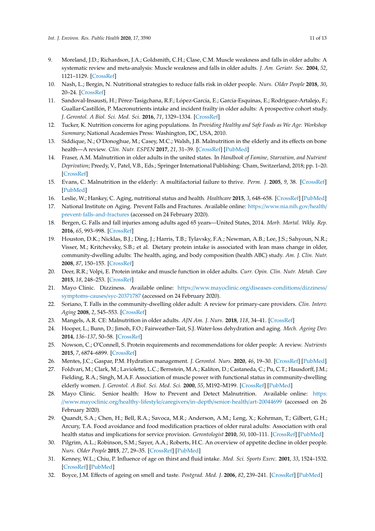- 9. Moreland, J.D.; Richardson, J.A.; Goldsmith, C.H.; Clase, C.M. Muscle weakness and falls in older adults: A systematic review and meta-analysis: Muscle weakness and falls in older adults. *J. Am. Geriatr. Soc.* **2004**, *52*, 1121–1129. [\[CrossRef\]](http://dx.doi.org/10.1111/j.1532-5415.2004.52310.x)
- 10. Nash, L.; Bergin, N. Nutritional strategies to reduce falls risk in older people. *Nurs. Older People* **2018**, *30*, 20–24. [\[CrossRef\]](http://dx.doi.org/10.7748/nop.2018.e1016)
- <span id="page-10-0"></span>11. Sandoval-Insausti, H.; Pérez-Tasigchana, R.F.; López-García, E.; García-Esquinas, E.; Rodríguez-Artalejo, F.; Guallar-Castillón, P. Macronutrients intake and incident frailty in older adults: A prospective cohort study. *J. Gerontol. A Biol. Sci. Med. Sci.* **2016**, *71*, 1329–1334. [\[CrossRef\]](http://dx.doi.org/10.1093/gerona/glw033)
- <span id="page-10-1"></span>12. Tucker, K. Nutrition concerns for aging populations. In *Providing Healthy and Safe Foods as We Age: Workshop Summary*; National Academies Press: Washington, DC, USA, 2010.
- <span id="page-10-2"></span>13. Siddique, N.; O'Donoghue, M.; Casey, M.C.; Walsh, J.B. Malnutrition in the elderly and its effects on bone health—A review. *Clin. Nutr. ESPEN* **2017**, *21*, 31–39. [\[CrossRef\]](http://dx.doi.org/10.1016/j.clnesp.2017.06.001) [\[PubMed\]](http://www.ncbi.nlm.nih.gov/pubmed/30014867)
- <span id="page-10-3"></span>14. Fraser, A.M. Malnutrition in older adults in the united states. In *Handbook of Famine, Starvation, and Nutrient Deprivation*; Preedy, V., Patel, V.B., Eds.; Springer International Publishing: Cham, Switzerland, 2018; pp. 1–20. [\[CrossRef\]](http://dx.doi.org/10.1007/978-3-319-40007-5_87-1)
- <span id="page-10-4"></span>15. Evans, C. Malnutrition in the elderly: A multifactorial failure to thrive. *Perm. J.* **2005**, *9*, 38. [\[CrossRef\]](http://dx.doi.org/10.7812/TPP/05-056) [\[PubMed\]](http://www.ncbi.nlm.nih.gov/pubmed/22811627)
- <span id="page-10-5"></span>16. Leslie, W.; Hankey, C. Aging, nutritional status and health. *Healthcare* **2015**, *3*, 648–658. [\[CrossRef\]](http://dx.doi.org/10.3390/healthcare3030648) [\[PubMed\]](http://www.ncbi.nlm.nih.gov/pubmed/27417787)
- <span id="page-10-6"></span>17. National Institute on Aging. Prevent Falls and Fractures. Available online: https://[www.nia.nih.gov](https://www.nia.nih.gov/health/prevent-falls-and-fractures)/health/ [prevent-falls-and-fractures](https://www.nia.nih.gov/health/prevent-falls-and-fractures) (accessed on 24 February 2020).
- 18. Bergen, G. Falls and fall injuries among adults aged 65 years—United States, 2014. *Morb. Mortal. Wkly. Rep.* **2016**, *65*, 993–998. [\[CrossRef\]](http://dx.doi.org/10.15585/mmwr.mm6537a2)
- 19. Houston, D.K.; Nicklas, B.J.; Ding, J.; Harris, T.B.; Tylavsky, F.A.; Newman, A.B.; Lee, J.S.; Sahyoun, N.R.; Visser, M.; Kritchevsky, S.B.; et al. Dietary protein intake is associated with lean mass change in older, community-dwelling adults: The health, aging, and body composition (health ABC) study. *Am. J. Clin. Nutr.* **2008**, *87*, 150–155. [\[CrossRef\]](http://dx.doi.org/10.1093/ajcn/87.1.150)
- <span id="page-10-7"></span>20. Deer, R.R.; Volpi, E. Protein intake and muscle function in older adults. *Curr. Opin. Clin. Nutr. Metab. Care* **2015**, *18*, 248–253. [\[CrossRef\]](http://dx.doi.org/10.1097/MCO.0000000000000162)
- <span id="page-10-8"></span>21. Mayo Clinic. Dizziness. Available online: https://[www.mayoclinic.org](https://www.mayoclinic.org/diseases-conditions/dizziness/symptoms-causes/syc-20371787)/diseases-conditions/dizziness/ [symptoms-causes](https://www.mayoclinic.org/diseases-conditions/dizziness/symptoms-causes/syc-20371787)/syc-20371787 (accessed on 24 February 2020).
- <span id="page-10-9"></span>22. Soriano, T. Falls in the community-dwelling older adult: A review for primary-care providers. *Clin. Interv. Aging* **2008**, *2*, 545–553. [\[CrossRef\]](http://dx.doi.org/10.2147/CIA.S1080)
- <span id="page-10-10"></span>23. Mangels, A.R. CE: Malnutrition in older adults. *AJN Am. J. Nurs.* **2018**, *118*, 34–41. [\[CrossRef\]](http://dx.doi.org/10.1097/01.NAJ.0000530915.26091.be)
- <span id="page-10-11"></span>24. Hooper, L.; Bunn, D.; Jimoh, F.O.; Fairweather-Tait, S.J. Water-loss dehydration and aging. *Mech. Ageing Dev.* **2014**, *136–137*, 50–58. [\[CrossRef\]](http://dx.doi.org/10.1016/j.mad.2013.11.009)
- <span id="page-10-12"></span>25. Nowson, C.; O'Connell, S. Protein requirements and recommendations for older people: A review. *Nutrients* **2015**, *7*, 6874–6899. [\[CrossRef\]](http://dx.doi.org/10.3390/nu7085311)
- <span id="page-10-13"></span>26. Mentes, J.C.; Gaspar, P.M. Hydration management. *J. Gerontol. Nurs.* **2020**, *46*, 19–30. [\[CrossRef\]](http://dx.doi.org/10.3928/00989134-20200108-03) [\[PubMed\]](http://www.ncbi.nlm.nih.gov/pubmed/31978236)
- <span id="page-10-14"></span>27. Foldvari, M.; Clark, M.; Laviolette, L.C.; Bernstein, M.A.; Kaliton, D.; Castaneda, C.; Pu, C.T.; Hausdorff, J.M.; Fielding, R.A.; Singh, M.A.F. Association of muscle power with functional status in community-dwelling elderly women. *J. Gerontol. A Biol. Sci. Med. Sci.* **2000**, *55*, M192–M199. [\[CrossRef\]](http://dx.doi.org/10.1093/gerona/55.4.M192) [\[PubMed\]](http://www.ncbi.nlm.nih.gov/pubmed/10811148)
- <span id="page-10-15"></span>28. Mayo Clinic. Senior health: How to Prevent and Detect Malnutrition. Available online: [https:](https://www.mayoclinic.org/healthy-lifestyle/caregivers/in-depth/senior-health/art-20044699) //[www.mayoclinic.org](https://www.mayoclinic.org/healthy-lifestyle/caregivers/in-depth/senior-health/art-20044699)/healthy-lifestyle/caregivers/in-depth/senior-health/art-20044699 (accessed on 26 February 2020).
- <span id="page-10-16"></span>29. Quandt, S.A.; Chen, H.; Bell, R.A.; Savoca, M.R.; Anderson, A.M.; Leng, X.; Kohrman, T.; Gilbert, G.H.; Arcury, T.A. Food avoidance and food modification practices of older rural adults: Association with oral health status and implications for service provision. *Gerontologist* **2010**, *50*, 100–111. [\[CrossRef\]](http://dx.doi.org/10.1093/geront/gnp096) [\[PubMed\]](http://www.ncbi.nlm.nih.gov/pubmed/19574543)
- <span id="page-10-17"></span>30. Pilgrim, A.L.; Robinson, S.M.; Sayer, A.A.; Roberts, H.C. An overview of appetite decline in older people. *Nurs. Older People* **2015**, *27*, 29–35. [\[CrossRef\]](http://dx.doi.org/10.7748/nop.27.5.29.e697) [\[PubMed\]](http://www.ncbi.nlm.nih.gov/pubmed/26018489)
- <span id="page-10-18"></span>31. Kenney, W.L.; Chiu, P. Influence of age on thirst and fluid intake. *Med. Sci. Sports Exerc.* **2001**, *33*, 1524–1532. [\[CrossRef\]](http://dx.doi.org/10.1097/00005768-200109000-00016) [\[PubMed\]](http://www.ncbi.nlm.nih.gov/pubmed/11528342)
- <span id="page-10-19"></span>32. Boyce, J.M. Effects of ageing on smell and taste. *Postgrad. Med. J.* **2006**, *82*, 239–241. [\[CrossRef\]](http://dx.doi.org/10.1136/pgmj.2005.039453) [\[PubMed\]](http://www.ncbi.nlm.nih.gov/pubmed/16597809)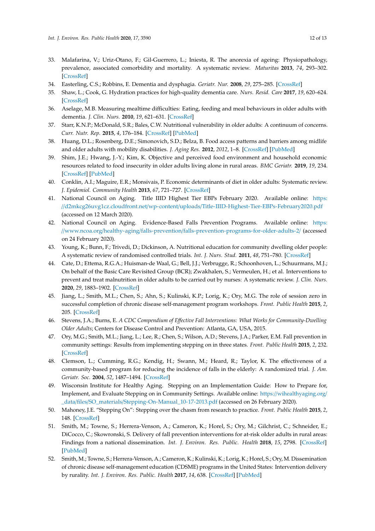- <span id="page-11-0"></span>33. Malafarina, V.; Uriz-Otano, F.; Gil-Guerrero, L.; Iniesta, R. The anorexia of ageing: Physiopathology, prevalence, associated comorbidity and mortality. A systematic review. *Maturitas* **2013**, *74*, 293–302. [\[CrossRef\]](http://dx.doi.org/10.1016/j.maturitas.2013.01.016)
- <span id="page-11-1"></span>34. Easterling, C.S.; Robbins, E. Dementia and dysphagia. *Geriatr. Nur.* **2008**, *29*, 275–285. [\[CrossRef\]](http://dx.doi.org/10.1016/j.gerinurse.2007.10.015)
- 35. Shaw, L.; Cook, G. Hydration practices for high-quality dementia care. *Nurs. Resid. Care* **2017**, *19*, 620–624. [\[CrossRef\]](http://dx.doi.org/10.12968/nrec.2017.19.11.620)
- <span id="page-11-2"></span>36. Aselage, M.B. Measuring mealtime difficulties: Eating, feeding and meal behaviours in older adults with dementia. *J. Clin. Nurs.* **2010**, *19*, 621–631. [\[CrossRef\]](http://dx.doi.org/10.1111/j.1365-2702.2009.03129.x)
- <span id="page-11-3"></span>37. Starr, K.N.P.; McDonald, S.R.; Bales, C.W. Nutritional vulnerability in older adults: A continuum of concerns. *Curr. Nutr. Rep.* **2015**, *4*, 176–184. [\[CrossRef\]](http://dx.doi.org/10.1007/s13668-015-0118-6) [\[PubMed\]](http://www.ncbi.nlm.nih.gov/pubmed/26042189)
- <span id="page-11-17"></span>38. Huang, D.L.; Rosenberg, D.E.; Simonovich, S.D.; Belza, B. Food access patterns and barriers among midlife and older adults with mobility disabilities. *J. Aging Res.* **2012**, *2012*, 1–8. [\[CrossRef\]](http://dx.doi.org/10.1155/2012/231489) [\[PubMed\]](http://www.ncbi.nlm.nih.gov/pubmed/23056944)
- 39. Shim, J.E.; Hwang, J.-Y.; Kim, K. Objective and perceived food environment and household economic resources related to food insecurity in older adults living alone in rural areas. *BMC Geriatr.* **2019**, *19*, 234. [\[CrossRef\]](http://dx.doi.org/10.1186/s12877-019-1231-y) [\[PubMed\]](http://www.ncbi.nlm.nih.gov/pubmed/31455243)
- <span id="page-11-4"></span>40. Conklin, A.I.; Maguire, E.R.; Monsivais, P. Economic determinants of diet in older adults: Systematic review. *J. Epidemiol. Community Health* **2013**, *67*, 721–727. [\[CrossRef\]](http://dx.doi.org/10.1136/jech-2013-202513)
- <span id="page-11-5"></span>41. National Council on Aging. Title IIID Highest Tier EBPs February 2020. Available online: [https:](https://d2mkcg26uvg1cz.cloudfront.net/wp-content/uploads/Title-IIID-Highest-Tier-EBPs-February2020.pdf) //d2mkcg26uvg1cz.cloudfront.net/wp-content/uploads/[Title-IIID-Highest-Tier-EBPs-February2020.pdf](https://d2mkcg26uvg1cz.cloudfront.net/wp-content/uploads/Title-IIID-Highest-Tier-EBPs-February2020.pdf) (accessed on 12 March 2020).
- <span id="page-11-6"></span>42. National Council on Aging. Evidence-Based Falls Prevention Programs. Available online: [https:](https://www.ncoa.org/healthy-aging/falls-prevention/falls-prevention-programs-for-older-adults-2/) //www.ncoa.org/healthy-aging/falls-prevention/[falls-prevention-programs-for-older-adults-2](https://www.ncoa.org/healthy-aging/falls-prevention/falls-prevention-programs-for-older-adults-2/)/ (accessed on 24 February 2020).
- <span id="page-11-7"></span>43. Young, K.; Bunn, F.; Trivedi, D.; Dickinson, A. Nutritional education for community dwelling older people: A systematic review of randomised controlled trials. *Int. J. Nurs. Stud.* **2011**, *48*, 751–780. [\[CrossRef\]](http://dx.doi.org/10.1016/j.ijnurstu.2011.03.007)
- <span id="page-11-8"></span>44. Cate, D.; Ettema, R.G.A.; Huisman-de Waal, G.; Bell, J.J.; Verbrugge, R.; Schoonhoven, L.; Schuurmans, M.J.; On behalf of the Basic Care Revisited Group (BCR); Zwakhalen, S.; Vermeulen, H.; et al. Interventions to prevent and treat malnutrition in older adults to be carried out by nurses: A systematic review. *J. Clin. Nurs.* **2020**, *29*, 1883–1902. [\[CrossRef\]](http://dx.doi.org/10.1111/jocn.15153)
- <span id="page-11-9"></span>45. Jiang, L.; Smith, M.L.; Chen, S.; Ahn, S.; Kulinski, K.P.; Lorig, K.; Ory, M.G. The role of session zero in successful completion of chronic disease self-management program workshops. *Front. Public Health* **2015**, *2*, 205. [\[CrossRef\]](http://dx.doi.org/10.3389/fpubh.2014.00205)
- <span id="page-11-10"></span>46. Stevens, J.A.; Burns, E. *A CDC Compendium of E*ff*ective Fall Interventions: What Works for Community-Dwelling Older Adults*; Centers for Disease Control and Prevention: Atlanta, GA, USA, 2015.
- <span id="page-11-11"></span>47. Ory, M.G.; Smith, M.L.; Jiang, L.; Lee, R.; Chen, S.; Wilson, A.D.; Stevens, J.A.; Parker, E.M. Fall prevention in community settings: Results from implementing stepping on in three states. *Front. Public Health* **2015**, *2*, 232. [\[CrossRef\]](http://dx.doi.org/10.3389/fpubh.2014.00232)
- <span id="page-11-12"></span>48. Clemson, L.; Cumming, R.G.; Kendig, H.; Swann, M.; Heard, R.; Taylor, K. The effectiveness of a community-based program for reducing the incidence of falls in the elderly: A randomized trial. *J. Am. Geriatr. Soc.* **2004**, *52*, 1487–1494. [\[CrossRef\]](http://dx.doi.org/10.1111/j.1532-5415.2004.52411.x)
- <span id="page-11-13"></span>49. Wisconsin Institute for Healthy Aging. Stepping on an Implementation Guide: How to Prepare for, Implement, and Evaluate Stepping on in Community Settings. Available online: https://[wihealthyaging.org](https://wihealthyaging.org/_data/files/SO_materials/Stepping-On-Manual_10-17-2013.pdf)/ \_data/files/SO\_materials/[Stepping-On-Manual\\_10-17-2013.pdf](https://wihealthyaging.org/_data/files/SO_materials/Stepping-On-Manual_10-17-2013.pdf) (accessed on 26 February 2020).
- <span id="page-11-14"></span>50. Mahoney, J.E. "Stepping On": Stepping over the chasm from research to practice. *Front. Public Health* **2015**, *2*, 148. [\[CrossRef\]](http://dx.doi.org/10.3389/fpubh.2014.00148)
- <span id="page-11-15"></span>51. Smith, M.; Towne, S.; Herrera-Venson, A.; Cameron, K.; Horel, S.; Ory, M.; Gilchrist, C.; Schneider, E.; DiCocco, C.; Skowronski, S. Delivery of fall prevention interventions for at-risk older adults in rural areas: Findings from a national dissemination. *Int. J. Environ. Res. Public. Health* **2018**, *15*, 2798. [\[CrossRef\]](http://dx.doi.org/10.3390/ijerph15122798) [\[PubMed\]](http://www.ncbi.nlm.nih.gov/pubmed/30544658)
- <span id="page-11-16"></span>52. Smith, M.; Towne, S.; Herrera-Venson, A.; Cameron, K.; Kulinski, K.; Lorig, K.; Horel, S.; Ory, M. Dissemination of chronic disease self-management education (CDSME) programs in the United States: Intervention delivery by rurality. *Int. J. Environ. Res. Public. Health* **2017**, *14*, 638. [\[CrossRef\]](http://dx.doi.org/10.3390/ijerph14060638) [\[PubMed\]](http://www.ncbi.nlm.nih.gov/pubmed/28613257)